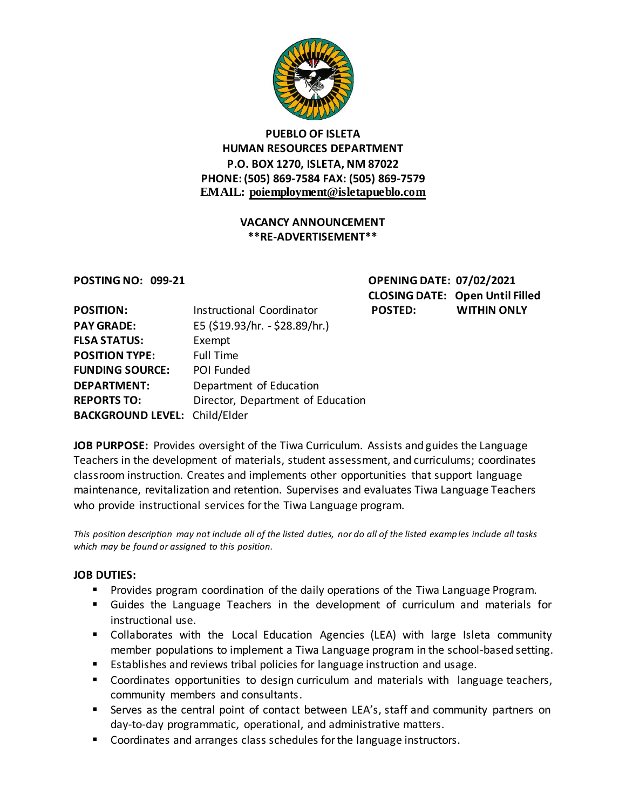

## **PUEBLO OF ISLETA HUMAN RESOURCES DEPARTMENT P.O. BOX 1270, ISLETA, NM 87022 PHONE: (505) 869-7584 FAX: (505) 869-7579 EMAIL: poiemployment@isletapueblo.com**

#### **VACANCY ANNOUNCEMENT \*\*RE-ADVERTISEMENT\*\***

**POSTING NO: 099-21 OPENING DATE: 07/02/2021 CLOSING DATE: Open Until Filled POSTED: WITHIN ONLY** 

| <b>POSITION:</b>                     | Instructional Coordinator         |
|--------------------------------------|-----------------------------------|
| <b>PAY GRADE:</b>                    | E5 (\$19.93/hr. - \$28.89/hr.)    |
| <b>FLSA STATUS:</b>                  | Exempt                            |
| <b>POSITION TYPE:</b>                | <b>Full Time</b>                  |
| <b>FUNDING SOURCE:</b>               | POI Funded                        |
| <b>DEPARTMENT:</b>                   | Department of Education           |
| <b>REPORTS TO:</b>                   | Director, Department of Education |
| <b>BACKGROUND LEVEL: Child/Elder</b> |                                   |

**JOB PURPOSE:** Provides oversight of the Tiwa Curriculum. Assists and guides the Language Teachers in the development of materials, student assessment, and curriculums; coordinates classroom instruction. Creates and implements other opportunities that support language maintenance, revitalization and retention. Supervises and evaluates Tiwa Language Teachers who provide instructional services for the Tiwa Language program.

*This position description may not include all of the listed duties, nor do all of the listed examples include all tasks which may be found or assigned to this position.*

#### **JOB DUTIES:**

- Provides program coordination of the daily operations of the Tiwa Language Program.
- Guides the Language Teachers in the development of curriculum and materials for instructional use.
- Collaborates with the Local Education Agencies (LEA) with large Isleta community member populations to implement a Tiwa Language program in the school-based setting.
- Establishes and reviews tribal policies for language instruction and usage.
- Coordinates opportunities to design curriculum and materials with language teachers, community members and consultants.
- Serves as the central point of contact between LEA's, staff and community partners on day-to-day programmatic, operational, and administrative matters.
- Coordinates and arranges class schedules for the language instructors.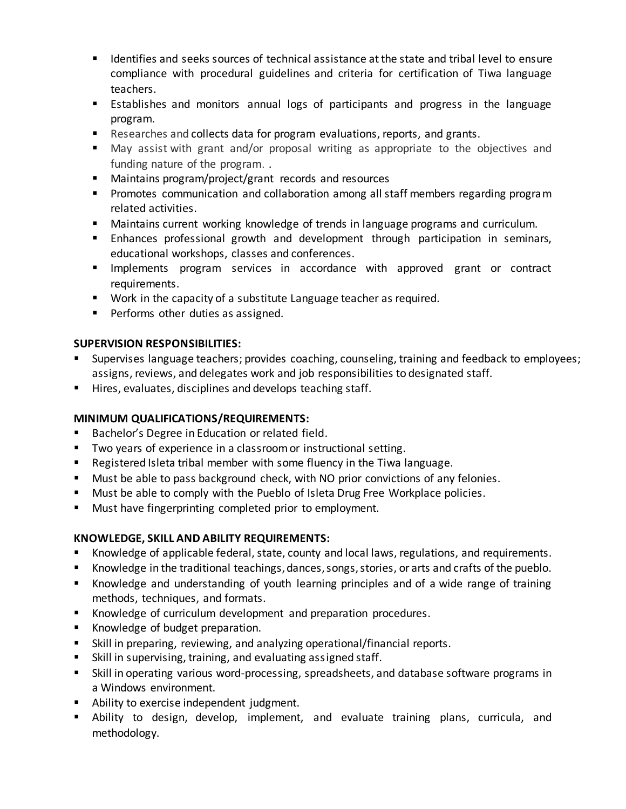- Identifies and seeks sources of technical assistance at the state and tribal level to ensure compliance with procedural guidelines and criteria for certification of Tiwa language teachers.
- Establishes and monitors annual logs of participants and progress in the language program.
- Researches and collects data for program evaluations, reports, and grants.
- May assist with grant and/or proposal writing as appropriate to the objectives and funding nature of the program. .
- Maintains program/project/grant records and resources
- **Promotes communication and collaboration among all staff members regarding program** related activities.
- Maintains current working knowledge of trends in language programs and curriculum.
- **Enhances professional growth and development through participation in seminars,** educational workshops, classes and conferences.
- **Implements program services in accordance with approved grant or contract** requirements.
- **Work in the capacity of a substitute Language teacher as required.**
- **Performs other duties as assigned.**

## **SUPERVISION RESPONSIBILITIES:**

- Supervises language teachers; provides coaching, counseling, training and feedback to employees; assigns, reviews, and delegates work and job responsibilities to designated staff.
- Hires, evaluates, disciplines and develops teaching staff.

## **MINIMUM QUALIFICATIONS/REQUIREMENTS:**

- **Bachelor's Degree in Education or related field.**
- **TWO years of experience in a classroom or instructional setting.**
- Registered Isleta tribal member with some fluency in the Tiwa language.
- **Must be able to pass background check, with NO prior convictions of any felonies.**
- **Must be able to comply with the Pueblo of Isleta Drug Free Workplace policies.**
- **Must have fingerprinting completed prior to employment.**

# **KNOWLEDGE, SKILL AND ABILITY REQUIREMENTS:**

- Knowledge of applicable federal, state, county and local laws, regulations, and requirements.
- Knowledge in the traditional teachings, dances, songs, stories, or arts and crafts of the pueblo.
- Knowledge and understanding of youth learning principles and of a wide range of training methods, techniques, and formats.
- Knowledge of curriculum development and preparation procedures.
- Knowledge of budget preparation.
- Skill in preparing, reviewing, and analyzing operational/financial reports.
- Skill in supervising, training, and evaluating assigned staff.
- Skill in operating various word-processing, spreadsheets, and database software programs in a Windows environment.
- **Ability to exercise independent judgment.**
- Ability to design, develop, implement, and evaluate training plans, curricula, and methodology.